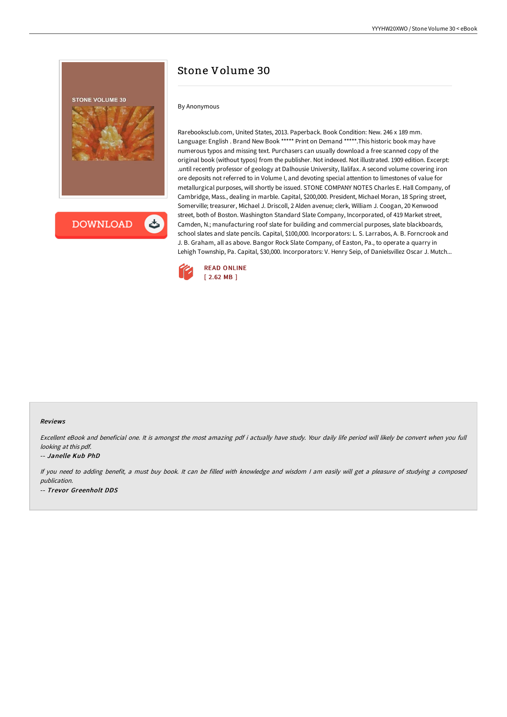

**DOWNLOAD** 

# Stone Volume 30

#### By Anonymous

Rarebooksclub.com, United States, 2013. Paperback. Book Condition: New. 246 x 189 mm. Language: English . Brand New Book \*\*\*\*\* Print on Demand \*\*\*\*\*.This historic book may have numerous typos and missing text. Purchasers can usually download a free scanned copy of the original book (without typos) from the publisher. Not indexed. Not illustrated. 1909 edition. Excerpt: .until recently professor of geology at Dalhousie University, llalifax. A second volume covering iron ore deposits not referred to in Volume I, and devoting special attention to limestones of value for metallurgical purposes, will shortly be issued. STONE COMPANY NOTES Charles E. Hall Company, of Cambridge, Mass., dealing in marble. Capital, \$200,000. President, Michael Moran, 18 Spring street, Somerville; treasurer, Michael J. Driscoll, 2 Alden avenue; clerk, William J. Coogan, 20 Kenwood street, both of Boston. Washington Standard Slate Company, Incorporated, of 419 Market street, Camden, N.; manufacturing roof slate for building and commercial purposes, slate blackboards, school slates and slate pencils. Capital, \$100,000. Incorporators: L. S. Larrabos, A. B. Forncrook and J. B. Graham, all as above. Bangor Rock Slate Company, of Easton, Pa., to operate a quarry in Lehigh Township, Pa. Capital, \$30,000. Incorporators: V. Henry Seip, of Danielsvillez Oscar J. Mutch...



#### Reviews

Excellent eBook and beneficial one. It is amongst the most amazing pdf i actually have study. Your daily life period will likely be convert when you full looking at this pdf.

#### -- Janelle Kub PhD

If you need to adding benefit, <sup>a</sup> must buy book. It can be filled with knowledge and wisdom <sup>I</sup> am easily will get <sup>a</sup> pleasure of studying <sup>a</sup> composed publication. -- Trevor Greenholt DDS